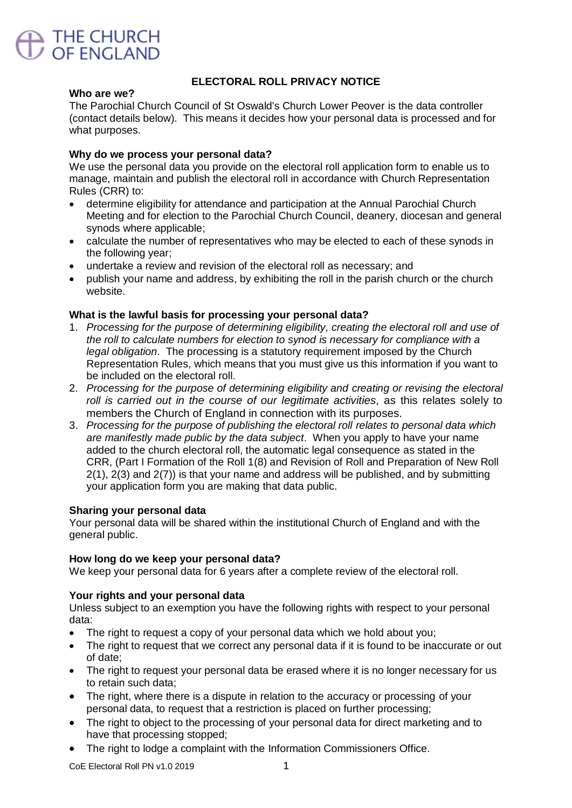# THE CHURCH OF ENGLAND

# **ELECTORAL ROLL PRIVACY NOTICE**

### **Who are we?**

The Parochial Church Council of St Oswald's Church Lower Peover is the data controller (contact details below). This means it decides how your personal data is processed and for what purposes.

# **Why do we process your personal data?**

We use the personal data you provide on the electoral roll application form to enable us to manage, maintain and publish the electoral roll in accordance with Church Representation Rules (CRR) to:

- determine eligibility for attendance and participation at the Annual Parochial Church Meeting and for election to the Parochial Church Council, deanery, diocesan and general synods where applicable;
- calculate the number of representatives who may be elected to each of these synods in the following year;
- undertake a review and revision of the electoral roll as necessary; and
- publish your name and address, by exhibiting the roll in the parish church or the church website.

## **What is the lawful basis for processing your personal data?**

- 1. *Processing for the purpose of determining eligibility, creating the electoral roll and use of the roll to calculate numbers for election to synod is necessary for compliance with a legal obligation*. The processing is a statutory requirement imposed by the Church Representation Rules, which means that you must give us this information if you want to be included on the electoral roll.
- 2. *Processing for the purpose of determining eligibility and creating or revising the electoral roll is carried out in the course of our legitimate activities,* as this relates solely to members the Church of England in connection with its purposes.
- 3. *Processing for the purpose of publishing the electoral roll relates to personal data which are manifestly made public by the data subject*. When you apply to have your name added to the church electoral roll, the automatic legal consequence as stated in the CRR, (Part I Formation of the Roll 1(8) and Revision of Roll and Preparation of New Roll 2(1), 2(3) and 2(7)) is that your name and address will be published, and by submitting your application form you are making that data public.

### **Sharing your personal data**

Your personal data will be shared within the institutional Church of England and with the general public.

### **How long do we keep your personal data?**

We keep your personal data for 6 years after a complete review of the electoral roll.

### **Your rights and your personal data**

Unless subject to an exemption you have the following rights with respect to your personal data:

- The right to request a copy of your personal data which we hold about you;
- The right to request that we correct any personal data if it is found to be inaccurate or out of date;
- The right to request your personal data be erased where it is no longer necessary for us to retain such data;
- The right, where there is a dispute in relation to the accuracy or processing of your personal data, to request that a restriction is placed on further processing;
- The right to object to the processing of your personal data for direct marketing and to have that processing stopped;
- The right to lodge a complaint with the Information Commissioners Office.